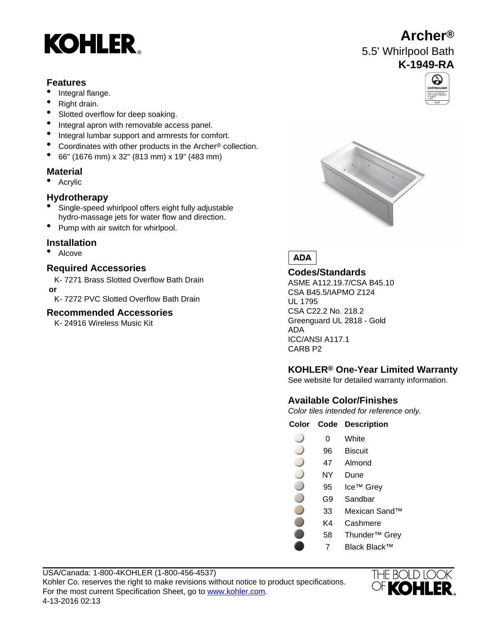# **KOHLER**

### **Features**

- Integral flange.
- Right drain.
- Slotted overflow for deep soaking.
- Integral apron with removable access panel.
- Integral lumbar support and armrests for comfort.
- Coordinates with other products in the Archer® collection.
- 66" (1676 mm) x 32" (813 mm) x 19" (483 mm)

# **Material**

• Acrylic

# **Hydrotherapy**

- Single-speed whirlpool offers eight fully adjustable hydro-massage jets for water flow and direction.
- Pump with air switch for whirlpool.

# **Installation**

• Alcove

# **Required Accessories**

K- 7271 Brass Slotted Overflow Bath Drain  **or**

K- 7272 PVC Slotted Overflow Bath Drain

# **Recommended Accessories**

K- 24916 Wireless Music Kit





### **Codes/Standards**

ASME A112.19.7/CSA B45.10 CSA B45.5/IAPMO Z124 UL 1795 CSA C22.2 No. 218.2 Greenguard UL 2818 - Gold ADA ICC/ANSI A117.1 CARB P2

# **KOHLER® One-Year Limited Warranty**

See website for detailed warranty information.

# **Available Color/Finishes**

Color tiles intended for reference only.

#### **Color Code Description**

- 0 White
- 96 Biscuit
- 47 Almond
- NY Dune
- 95 Ice™ Grey
- G9 Sandbar
- 33 Mexican Sand™
- K4 Cashmere
- 58 Thunder™ Grey
	- 7 Black Black™







# ADA